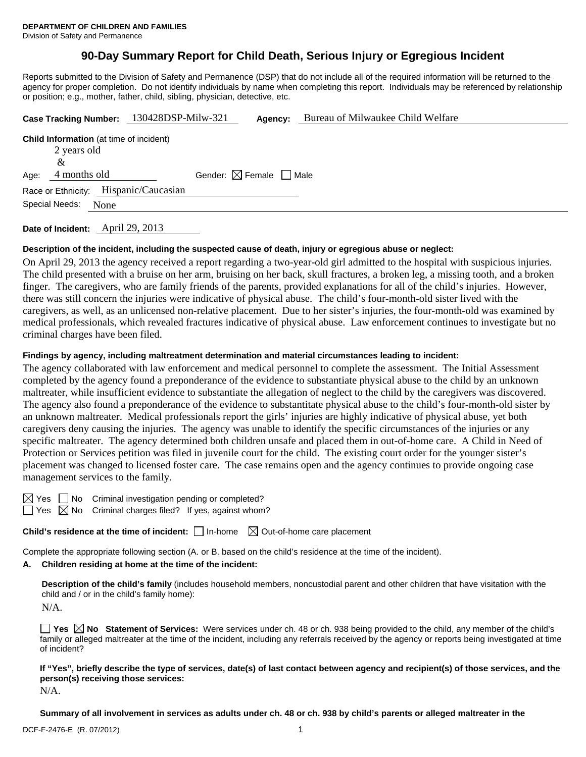# **90-Day Summary Report for Child Death, Serious Injury or Egregious Incident**

Reports submitted to the Division of Safety and Permanence (DSP) that do not include all of the required information will be returned to the agency for proper completion. Do not identify individuals by name when completing this report. Individuals may be referenced by relationship or position; e.g., mother, father, child, sibling, physician, detective, etc.

| Case Tracking Number: 130428DSP-Milw-321                                                   | Agency:                                | Bureau of Milwaukee Child Welfare |  |  |
|--------------------------------------------------------------------------------------------|----------------------------------------|-----------------------------------|--|--|
| <b>Child Information</b> (at time of incident)<br>2 years old<br>&<br>4 months old<br>Age: | Gender: $\boxtimes$ Female $\Box$ Male |                                   |  |  |
| Race or Ethnicity: Hispanic/Caucasian<br>Special Needs:<br>None                            |                                        |                                   |  |  |

**Date of Incident:** April 29, 2013

## **Description of the incident, including the suspected cause of death, injury or egregious abuse or neglect:**

On April 29, 2013 the agency received a report regarding a two-year-old girl admitted to the hospital with suspicious injuries. The child presented with a bruise on her arm, bruising on her back, skull fractures, a broken leg, a missing tooth, and a broken finger. The caregivers, who are family friends of the parents, provided explanations for all of the child's injuries. However, there was still concern the injuries were indicative of physical abuse. The child's four-month-old sister lived with the caregivers, as well, as an unlicensed non-relative placement. Due to her sister's injuries, the four-month-old was examined by medical professionals, which revealed fractures indicative of physical abuse. Law enforcement continues to investigate but no criminal charges have been filed.

## **Findings by agency, including maltreatment determination and material circumstances leading to incident:**

The agency collaborated with law enforcement and medical personnel to complete the assessment. The Initial Assessment completed by the agency found a preponderance of the evidence to substantiate physical abuse to the child by an unknown maltreater, while insufficient evidence to substantiate the allegation of neglect to the child by the caregivers was discovered. The agency also found a preponderance of the evidence to substantitate physical abuse to the child's four-month-old sister by an unknown maltreater. Medical professionals report the girls' injuries are highly indicative of physical abuse, yet both caregivers deny causing the injuries. The agency was unable to identify the specific circumstances of the injuries or any specific maltreater. The agency determined both children unsafe and placed them in out-of-home care. A Child in Need of Protection or Services petition was filed in juvenile court for the child. The existing court order for the younger sister's placement was changed to licensed foster care. The case remains open and the agency continues to provide ongoing case management services to the family.

 $\boxtimes$  Yes  $\Box$  No Criminal investigation pending or completed?

 $\Box$  Yes  $\boxtimes$  No Criminal charges filed? If yes, against whom?

**Child's residence at the time of incident:** □ In-home  $\boxtimes$  Out-of-home care placement

Complete the appropriate following section (A. or B. based on the child's residence at the time of the incident).

## **A. Children residing at home at the time of the incident:**

**Description of the child's family** (includes household members, noncustodial parent and other children that have visitation with the child and / or in the child's family home):

N/A.

**Yes No Statement of Services:** Were services under ch. 48 or ch. 938 being provided to the child, any member of the child's family or alleged maltreater at the time of the incident, including any referrals received by the agency or reports being investigated at time of incident?

**If "Yes", briefly describe the type of services, date(s) of last contact between agency and recipient(s) of those services, and the person(s) receiving those services:**  N/A.

**Summary of all involvement in services as adults under ch. 48 or ch. 938 by child's parents or alleged maltreater in the**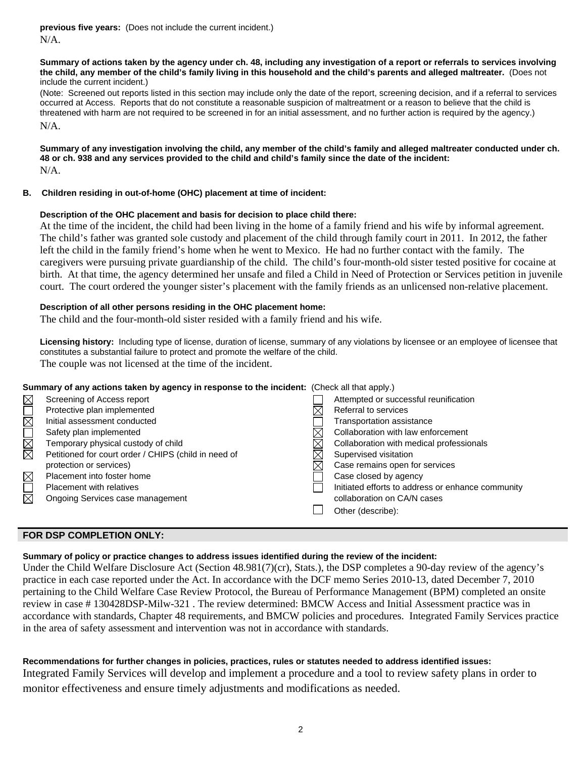**previous five years:** (Does not include the current incident.) N/A.

#### **Summary of actions taken by the agency under ch. 48, including any investigation of a report or referrals to services involving the child, any member of the child's family living in this household and the child's parents and alleged maltreater.** (Does not include the current incident.)

(Note: Screened out reports listed in this section may include only the date of the report, screening decision, and if a referral to services occurred at Access. Reports that do not constitute a reasonable suspicion of maltreatment or a reason to believe that the child is threatened with harm are not required to be screened in for an initial assessment, and no further action is required by the agency.) N/A.

**Summary of any investigation involving the child, any member of the child's family and alleged maltreater conducted under ch. 48 or ch. 938 and any services provided to the child and child's family since the date of the incident:**  N/A.

## **B. Children residing in out-of-home (OHC) placement at time of incident:**

## **Description of the OHC placement and basis for decision to place child there:**

At the time of the incident, the child had been living in the home of a family friend and his wife by informal agreement. The child's father was granted sole custody and placement of the child through family court in 2011. In 2012, the father left the child in the family friend's home when he went to Mexico. He had no further contact with the family. The caregivers were pursuing private guardianship of the child. The child's four-month-old sister tested positive for cocaine at birth. At that time, the agency determined her unsafe and filed a Child in Need of Protection or Services petition in juvenile court. The court ordered the younger sister's placement with the family friends as an unlicensed non-relative placement.

## **Description of all other persons residing in the OHC placement home:**

The child and the four-month-old sister resided with a family friend and his wife.

**Licensing history:** Including type of license, duration of license, summary of any violations by licensee or an employee of licensee that constitutes a substantial failure to protect and promote the welfare of the child. The couple was not licensed at the time of the incident.

| Summary of any actions taken by agency in response to the incident: (Check all that apply.) |                                                      |  |                                                   |  |  |
|---------------------------------------------------------------------------------------------|------------------------------------------------------|--|---------------------------------------------------|--|--|
| $\boxtimes$                                                                                 | Screening of Access report                           |  | Attempted or successful reunification             |  |  |
|                                                                                             | Protective plan implemented                          |  | Referral to services                              |  |  |
| NNOMO                                                                                       | Initial assessment conducted                         |  | <b>Transportation assistance</b>                  |  |  |
|                                                                                             | Safety plan implemented                              |  | Collaboration with law enforcement                |  |  |
|                                                                                             | Temporary physical custody of child                  |  | Collaboration with medical professionals          |  |  |
|                                                                                             | Petitioned for court order / CHIPS (child in need of |  | Supervised visitation                             |  |  |
|                                                                                             | protection or services)                              |  | Case remains open for services                    |  |  |
| <b>MUN</b>                                                                                  | Placement into foster home                           |  | Case closed by agency                             |  |  |
|                                                                                             | <b>Placement with relatives</b>                      |  | Initiated efforts to address or enhance community |  |  |
|                                                                                             | Ongoing Services case management                     |  | collaboration on CA/N cases                       |  |  |
|                                                                                             |                                                      |  | Other (describe):                                 |  |  |
|                                                                                             |                                                      |  |                                                   |  |  |

## **FOR DSP COMPLETION ONLY:**

#### **Summary of policy or practice changes to address issues identified during the review of the incident:**

Under the Child Welfare Disclosure Act (Section 48.981(7)(cr), Stats.), the DSP completes a 90-day review of the agency's practice in each case reported under the Act. In accordance with the DCF memo Series 2010-13, dated December 7, 2010 pertaining to the Child Welfare Case Review Protocol, the Bureau of Performance Management (BPM) completed an onsite review in case # 130428DSP-Milw-321 . The review determined: BMCW Access and Initial Assessment practice was in accordance with standards, Chapter 48 requirements, and BMCW policies and procedures. Integrated Family Services practice in the area of safety assessment and intervention was not in accordance with standards.

## **Recommendations for further changes in policies, practices, rules or statutes needed to address identified issues:**

Integrated Family Services will develop and implement a procedure and a tool to review safety plans in order to monitor effectiveness and ensure timely adjustments and modifications as needed.